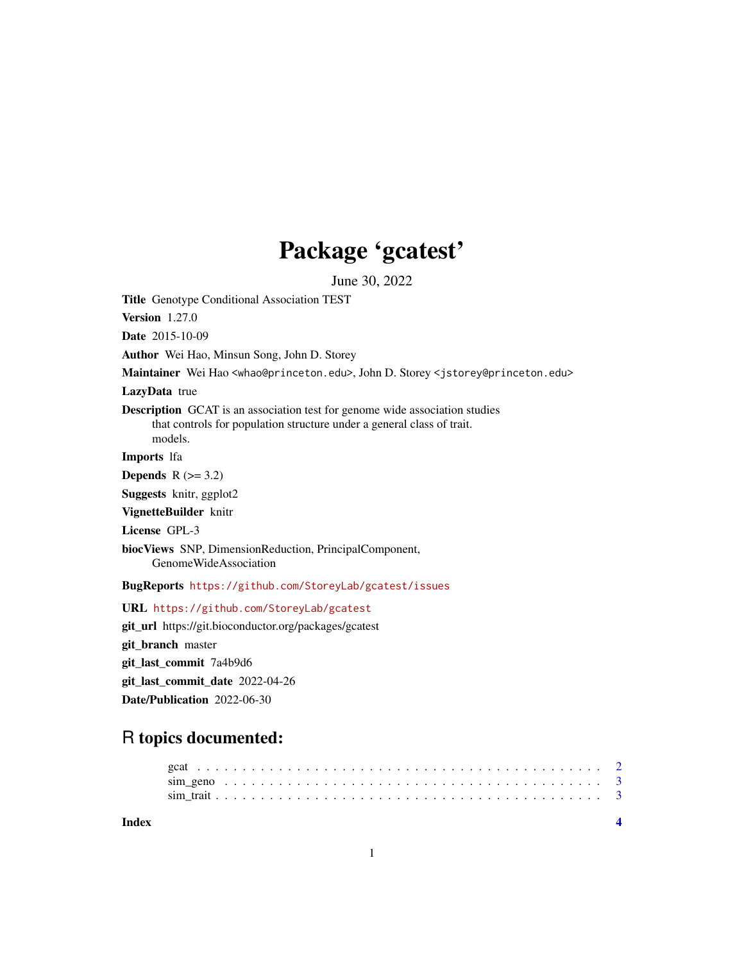## Package 'gcatest'

June 30, 2022

Title Genotype Conditional Association TEST

Version 1.27.0

Date 2015-10-09

Author Wei Hao, Minsun Song, John D. Storey

Maintainer Wei Hao <whao@princeton.edu>, John D. Storey <jstorey@princeton.edu>

LazyData true

Description GCAT is an association test for genome wide association studies that controls for population structure under a general class of trait. models.

Imports lfa

Depends  $R$  ( $>= 3.2$ )

Suggests knitr, ggplot2

VignetteBuilder knitr

License GPL-3

biocViews SNP, DimensionReduction, PrincipalComponent, GenomeWideAssociation

BugReports <https://github.com/StoreyLab/gcatest/issues>

URL <https://github.com/StoreyLab/gcatest>

git\_url https://git.bioconductor.org/packages/gcatest git\_branch master git\_last\_commit 7a4b9d6 git\_last\_commit\_date 2022-04-26 Date/Publication 2022-06-30

### R topics documented:

| Index |  |  |  |  |  |  |  |  |  |  |  |  |  |  |  |  |  |  |  |  |
|-------|--|--|--|--|--|--|--|--|--|--|--|--|--|--|--|--|--|--|--|--|
|       |  |  |  |  |  |  |  |  |  |  |  |  |  |  |  |  |  |  |  |  |
|       |  |  |  |  |  |  |  |  |  |  |  |  |  |  |  |  |  |  |  |  |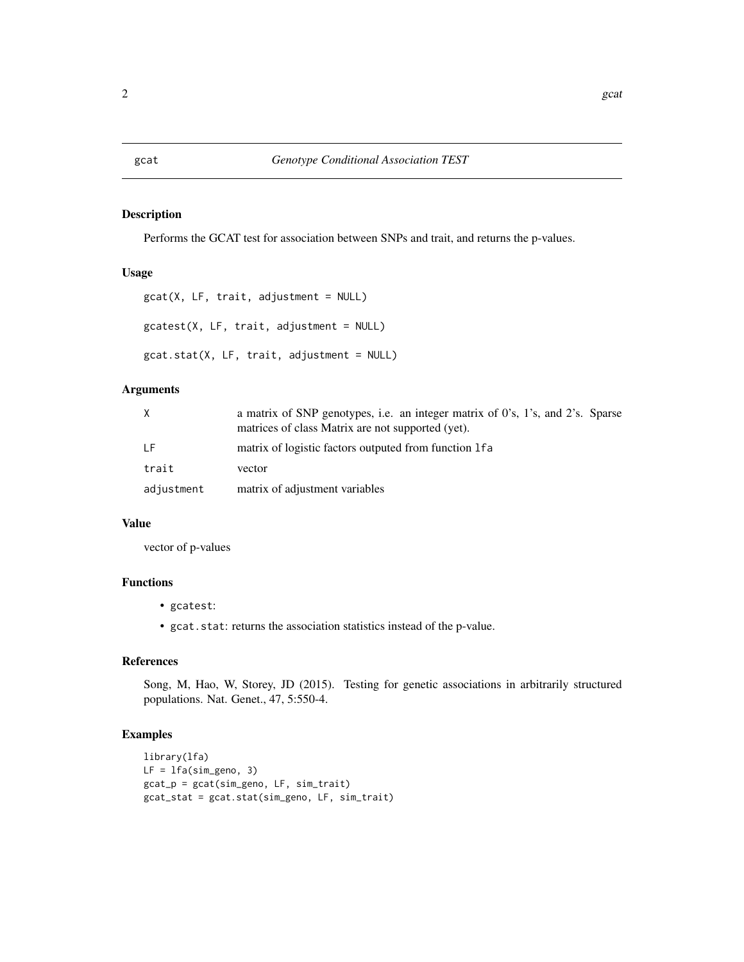#### <span id="page-1-0"></span>Description

Performs the GCAT test for association between SNPs and trait, and returns the p-values.

#### Usage

```
gcat(X, LF, trait, adjustment = NULL)gcatest(X, LF, trait, adjustment = NULL)
gcat.stat(X, LF, trait, adjustment = NULL)
```
#### Arguments

| X          | a matrix of SNP genotypes, i.e. an integer matrix of $0$ 's, $1$ 's, and $2$ 's. Sparse<br>matrices of class Matrix are not supported (yet). |
|------------|----------------------------------------------------------------------------------------------------------------------------------------------|
| T F        | matrix of logistic factors outputed from function 1 fa                                                                                       |
| trait      | vector                                                                                                                                       |
| adjustment | matrix of adjustment variables                                                                                                               |

#### Value

vector of p-values

#### Functions

- gcatest:
- gcat.stat: returns the association statistics instead of the p-value.

#### References

Song, M, Hao, W, Storey, JD (2015). Testing for genetic associations in arbitrarily structured populations. Nat. Genet., 47, 5:550-4.

#### Examples

```
library(lfa)
LF = lfa(sim_geno, 3)
gcat_p = gcat(sim_geno, LF, sim_trait)
gcat_stat = gcat.stat(sim_geno, LF, sim_trait)
```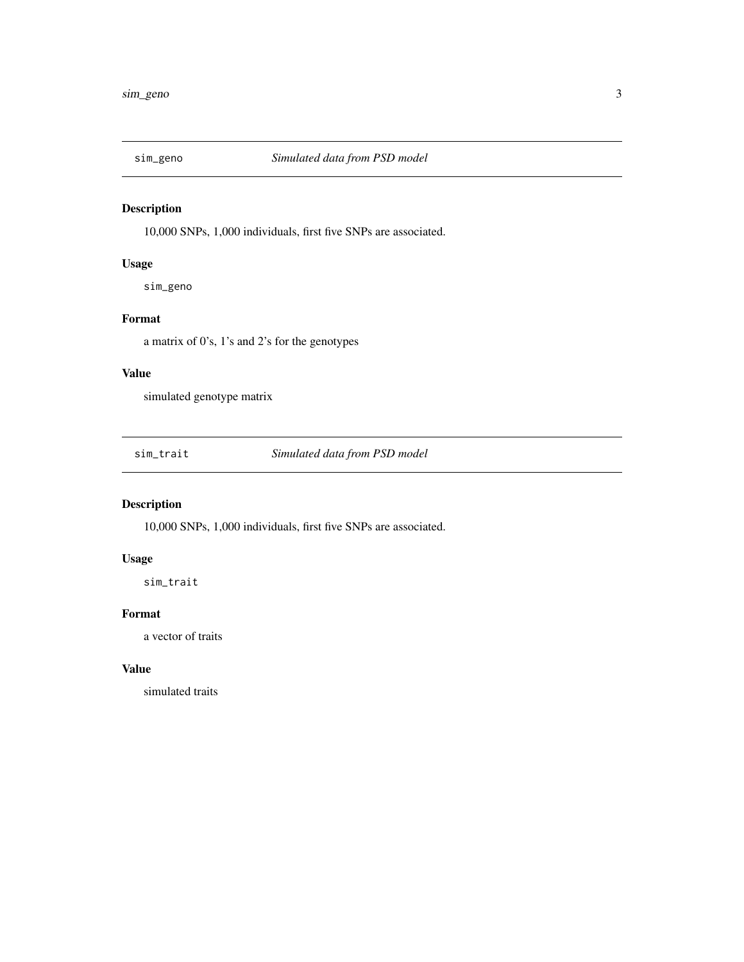<span id="page-2-0"></span>

#### Description

10,000 SNPs, 1,000 individuals, first five SNPs are associated.

#### Usage

sim\_geno

#### Format

a matrix of 0's, 1's and 2's for the genotypes

#### Value

simulated genotype matrix

sim\_trait *Simulated data from PSD model*

#### Description

10,000 SNPs, 1,000 individuals, first five SNPs are associated.

#### Usage

sim\_trait

#### Format

a vector of traits

#### Value

simulated traits